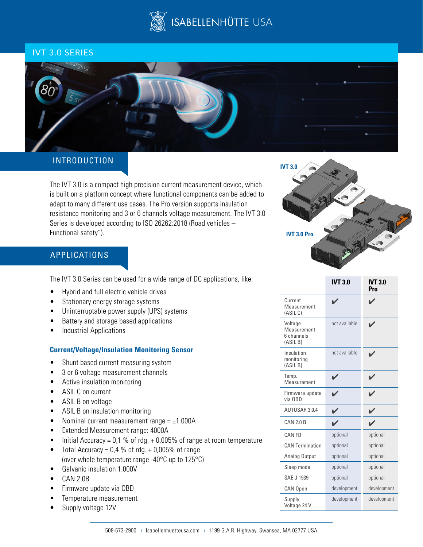

## IVT 3.0 SERIES



## INTRODUCTION

The IVT 3.0 is a compact high precision current measurement device, which is built on a platform concept where functional components can be added to adapt to many different use cases. The Pro version supports insulation resistance monitoring and 3 or 6 channels voltage measurement. The IVT 3.0 Series is developed according to ISO 26262:2018 (Road vehicles – Functional safety").

# APPLICATIONS

The IVT 3.0 Series can be used for a wide range of DC applications, like:

- Hybrid and full electric vehicle drives
- Stationary energy storage systems
- Uninterruptable power supply (UPS) systems
- Battery and storage based applications
- Industrial Applications

### **Current/Voltage/Insulation Monitoring Sensor**

- Shunt based current measuring system
- 3 or 6 voltage measurement channels
- Active insulation monitoring
- ASIL C on current
- ASIL B on voltage
- ASIL B on insulation monitoring
- Nominal current measurement range  $= \pm 1.000$ A
- Extended Measurement range: 4000A
- Initial Accuracy = 0,1 % of rdg. + 0,005% of range at room temperature
- Total Accuracy =  $0.4 \%$  of rdg. + 0,005% of range (over whole temperature range -40°C up to 125°C)
- Galvanic insulation 1.000V
- CAN 2.0B
- Firmware update via OBD
- Temperature measurement
- Supply voltage 12V



|                                                  | <b>IVT 3.0</b> | <b>IVT 3.0</b><br>Pro |
|--------------------------------------------------|----------------|-----------------------|
| Current<br>Measurement<br>(ASIL C)               |                |                       |
| Voltage<br>Measurement<br>6 channels<br>(ASIL B) | not available  |                       |
| Insulation<br>monitoring<br>(ASIL B)             | not available  |                       |
| Temp.<br>Measurement                             |                |                       |
| Firmware update<br>via OBD                       |                |                       |
| AUTOSAR 3.0.4                                    |                |                       |
| CAN 2.0 B                                        |                |                       |
| CAN FD                                           | optional       | optional              |
| <b>CAN Termination</b>                           | optional       | optional              |
| Analog Output                                    | optional       | optional              |
| Sleep mode                                       | optional       | optional              |
| SAE J 1939                                       | optional       | optional              |
| CAN Open                                         | development    | development           |
| Supply<br>Voltage 24 V                           | development    | development           |